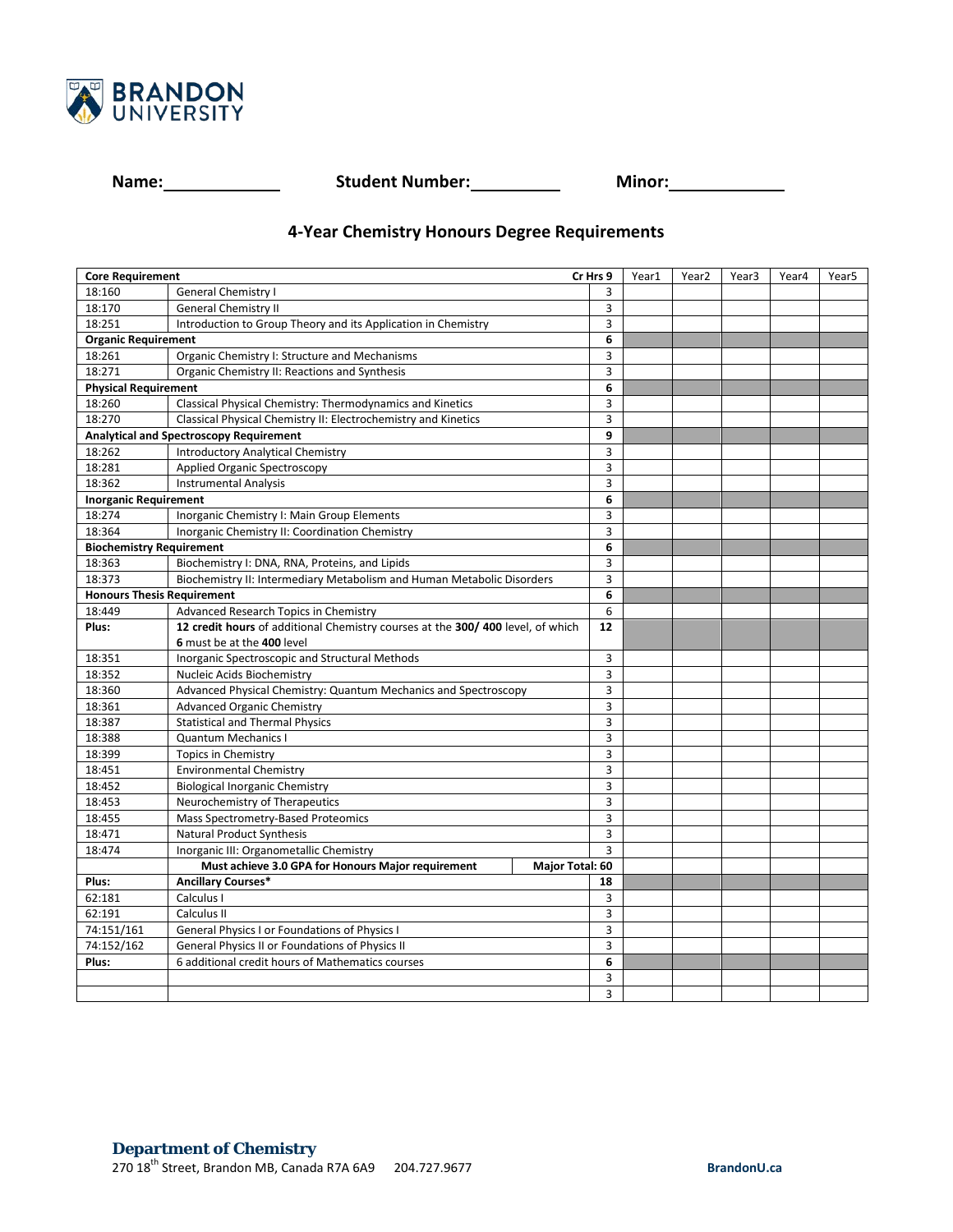

**Name: Name: Student Number: Minor: Minor: Minor:** 

## **4-Year Chemistry Honours Degree Requirements**

| <b>Core Requirement</b>                                 |                                                                                | Cr Hrs 9        |                | Year1 | Year <sub>2</sub> | Year <sub>3</sub> | Year4 | Year <sub>5</sub> |
|---------------------------------------------------------|--------------------------------------------------------------------------------|-----------------|----------------|-------|-------------------|-------------------|-------|-------------------|
| 18:160                                                  | <b>General Chemistry I</b>                                                     |                 | 3              |       |                   |                   |       |                   |
| 18:170                                                  | <b>General Chemistry II</b>                                                    |                 | 3              |       |                   |                   |       |                   |
| 18:251                                                  | Introduction to Group Theory and its Application in Chemistry                  |                 | 3              |       |                   |                   |       |                   |
| <b>Organic Requirement</b>                              |                                                                                |                 | 6              |       |                   |                   |       |                   |
| 18:261<br>Organic Chemistry I: Structure and Mechanisms |                                                                                |                 | 3              |       |                   |                   |       |                   |
| 18:271                                                  | Organic Chemistry II: Reactions and Synthesis                                  |                 | 3              |       |                   |                   |       |                   |
| <b>Physical Requirement</b>                             |                                                                                |                 | 6              |       |                   |                   |       |                   |
| 18:260                                                  | Classical Physical Chemistry: Thermodynamics and Kinetics                      |                 | 3              |       |                   |                   |       |                   |
| 18:270                                                  | Classical Physical Chemistry II: Electrochemistry and Kinetics                 |                 | $\overline{3}$ |       |                   |                   |       |                   |
| <b>Analytical and Spectroscopy Requirement</b>          |                                                                                |                 | 9              |       |                   |                   |       |                   |
| 18:262                                                  | <b>Introductory Analytical Chemistry</b>                                       |                 | 3              |       |                   |                   |       |                   |
| 18:281                                                  | Applied Organic Spectroscopy                                                   |                 | 3              |       |                   |                   |       |                   |
| 18:362                                                  | <b>Instrumental Analysis</b>                                                   |                 | 3              |       |                   |                   |       |                   |
| <b>Inorganic Requirement</b>                            |                                                                                |                 | 6              |       |                   |                   |       |                   |
| 18:274                                                  | Inorganic Chemistry I: Main Group Elements                                     |                 | 3              |       |                   |                   |       |                   |
| 18:364                                                  | Inorganic Chemistry II: Coordination Chemistry                                 |                 | 3              |       |                   |                   |       |                   |
| <b>Biochemistry Requirement</b>                         |                                                                                |                 | 6              |       |                   |                   |       |                   |
| 18:363                                                  | Biochemistry I: DNA, RNA, Proteins, and Lipids                                 |                 | 3              |       |                   |                   |       |                   |
| 18:373                                                  | Biochemistry II: Intermediary Metabolism and Human Metabolic Disorders         |                 | 3              |       |                   |                   |       |                   |
| <b>Honours Thesis Requirement</b>                       |                                                                                |                 | 6              |       |                   |                   |       |                   |
| 18:449                                                  | Advanced Research Topics in Chemistry                                          |                 | 6              |       |                   |                   |       |                   |
| Plus:                                                   | 12 credit hours of additional Chemistry courses at the 300/400 level, of which |                 | 12             |       |                   |                   |       |                   |
|                                                         | 6 must be at the 400 level                                                     |                 |                |       |                   |                   |       |                   |
| 18:351                                                  | Inorganic Spectroscopic and Structural Methods                                 |                 | 3              |       |                   |                   |       |                   |
| 18:352                                                  | Nucleic Acids Biochemistry                                                     |                 | 3              |       |                   |                   |       |                   |
| 18:360                                                  | Advanced Physical Chemistry: Quantum Mechanics and Spectroscopy                |                 | 3              |       |                   |                   |       |                   |
| 18:361                                                  | <b>Advanced Organic Chemistry</b>                                              |                 | 3              |       |                   |                   |       |                   |
| 18:387                                                  | <b>Statistical and Thermal Physics</b>                                         |                 | 3              |       |                   |                   |       |                   |
| 18:388                                                  | <b>Quantum Mechanics I</b>                                                     |                 | 3              |       |                   |                   |       |                   |
| 18:399                                                  | <b>Topics in Chemistry</b>                                                     |                 | $\overline{3}$ |       |                   |                   |       |                   |
| 18:451                                                  | Environmental Chemistry                                                        |                 | 3              |       |                   |                   |       |                   |
| 18:452                                                  | <b>Biological Inorganic Chemistry</b>                                          |                 | 3              |       |                   |                   |       |                   |
| 18:453                                                  | Neurochemistry of Therapeutics                                                 |                 | 3              |       |                   |                   |       |                   |
| 18:455                                                  | Mass Spectrometry-Based Proteomics                                             |                 | 3              |       |                   |                   |       |                   |
| 18:471                                                  | Natural Product Synthesis                                                      |                 | 3              |       |                   |                   |       |                   |
| 18:474                                                  | Inorganic III: Organometallic Chemistry                                        |                 | 3              |       |                   |                   |       |                   |
|                                                         | Must achieve 3.0 GPA for Honours Major requirement                             | Major Total: 60 |                |       |                   |                   |       |                   |
| Plus:                                                   | <b>Ancillary Courses*</b>                                                      |                 | 18             |       |                   |                   |       |                   |
| 62:181                                                  | Calculus I                                                                     |                 | 3              |       |                   |                   |       |                   |
| 62:191                                                  | Calculus II                                                                    |                 | 3              |       |                   |                   |       |                   |
| 74:151/161                                              | General Physics I or Foundations of Physics I                                  |                 | 3              |       |                   |                   |       |                   |
| 74:152/162                                              | General Physics II or Foundations of Physics II                                |                 | 3              |       |                   |                   |       |                   |
| Plus:                                                   | 6 additional credit hours of Mathematics courses                               |                 | 6              |       |                   |                   |       |                   |
|                                                         |                                                                                |                 | 3              |       |                   |                   |       |                   |
|                                                         |                                                                                |                 | 3              |       |                   |                   |       |                   |